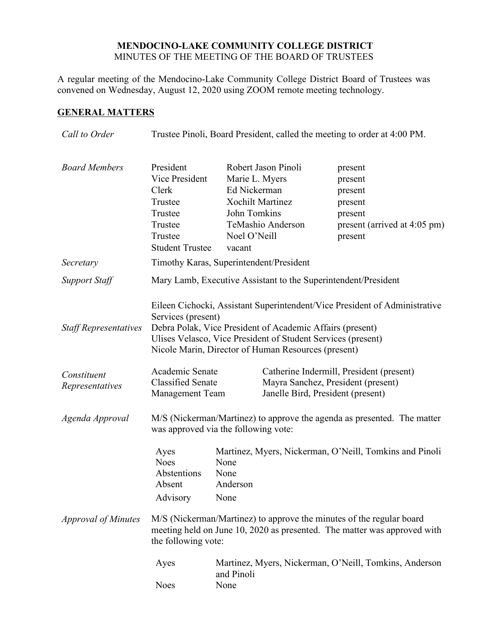## **MENDOCINO-LAKE COMMUNITY COLLEGE DISTRICT** MINUTES OF THE MEETING OF THE BOARD OF TRUSTEES

A regular meeting of the Mendocino-Lake Community College District Board of Trustees was convened on Wednesday, August 12, 2020 using ZOOM remote meeting technology.

# **GENERAL MATTERS**

| Call to Order                  | Trustee Pinoli, Board President, called the meeting to order at 4:00 PM.                                                                                                |                                                                                                     |                                                                                                                                                                                  |                                                                                                |
|--------------------------------|-------------------------------------------------------------------------------------------------------------------------------------------------------------------------|-----------------------------------------------------------------------------------------------------|----------------------------------------------------------------------------------------------------------------------------------------------------------------------------------|------------------------------------------------------------------------------------------------|
| <b>Board Members</b>           | President<br>Vice President<br>Clerk<br>Trustee<br>Trustee<br>Trustee<br>Trustee<br><b>Student Trustee</b>                                                              | Marie L. Myers<br>Ed Nickerman<br><b>Xochilt Martinez</b><br>John Tomkins<br>Noel O'Neill<br>vacant | Robert Jason Pinoli<br>TeMashio Anderson                                                                                                                                         | present<br>present<br>present<br>present<br>present<br>present (arrived at 4:05 pm)<br>present |
| Secretary                      | Timothy Karas, Superintendent/President                                                                                                                                 |                                                                                                     |                                                                                                                                                                                  |                                                                                                |
| Support Staff                  | Mary Lamb, Executive Assistant to the Superintendent/President                                                                                                          |                                                                                                     |                                                                                                                                                                                  |                                                                                                |
| <b>Staff Representatives</b>   | Services (present)                                                                                                                                                      |                                                                                                     | Debra Polak, Vice President of Academic Affairs (present)<br>Ulises Velasco, Vice President of Student Services (present)<br>Nicole Marin, Director of Human Resources (present) | Eileen Cichocki, Assistant Superintendent/Vice President of Administrative                     |
| Constituent<br>Representatives | Academic Senate<br><b>Classified Senate</b><br><b>Management Team</b>                                                                                                   |                                                                                                     | Janelle Bird, President (present)                                                                                                                                                | Catherine Indermill, President (present)<br>Mayra Sanchez, President (present)                 |
| Agenda Approval                | M/S (Nickerman/Martinez) to approve the agenda as presented. The matter<br>was approved via the following vote:                                                         |                                                                                                     |                                                                                                                                                                                  |                                                                                                |
|                                | Ayes<br><b>Noes</b><br>Abstentions<br>Absent<br>Advisory                                                                                                                | None<br>None<br>Anderson<br>None                                                                    |                                                                                                                                                                                  | Martinez, Myers, Nickerman, O'Neill, Tomkins and Pinoli                                        |
| <b>Approval of Minutes</b>     | M/S (Nickerman/Martinez) to approve the minutes of the regular board<br>meeting held on June 10, 2020 as presented. The matter was approved with<br>the following vote: |                                                                                                     |                                                                                                                                                                                  |                                                                                                |
|                                | Ayes<br><b>Noes</b>                                                                                                                                                     | Martinez, Myers, Nickerman, O'Neill, Tomkins, Anderson<br>and Pinoli<br>None                        |                                                                                                                                                                                  |                                                                                                |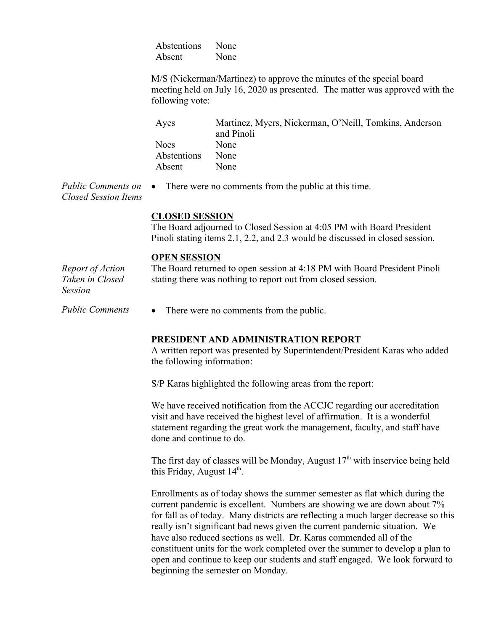Abstentions None Absent None

M/S (Nickerman/Martinez) to approve the minutes of the special board meeting held on July 16, 2020 as presented. The matter was approved with the following vote:

| Ayes        | Martinez, Myers, Nickerman, O'Neill, Tomkins, Anderson |
|-------------|--------------------------------------------------------|
|             | and Pinoli                                             |
| <b>Noes</b> | None                                                   |
| Abstentions | None                                                   |
| Absent      | None                                                   |

*Public Comments on Closed Session Items* • There were no comments from the public at this time.

#### **CLOSED SESSION**

The Board adjourned to Closed Session at 4:05 PM with Board President Pinoli stating items 2.1, 2.2, and 2.3 would be discussed in closed session.

#### **OPEN SESSION**

*Report of Action Taken in Closed Session* The Board returned to open session at 4:18 PM with Board President Pinoli stating there was nothing to report out from closed session.

*Public Comments* • There were no comments from the public.

### **PRESIDENT AND ADMINISTRATION REPORT**

A written report was presented by Superintendent/President Karas who added the following information:

S/P Karas highlighted the following areas from the report:

We have received notification from the ACCJC regarding our accreditation visit and have received the highest level of affirmation. It is a wonderful statement regarding the great work the management, faculty, and staff have done and continue to do.

The first day of classes will be Monday, August  $17<sup>th</sup>$  with inservice being held this Friday, August  $14<sup>th</sup>$ .

Enrollments as of today shows the summer semester as flat which during the current pandemic is excellent. Numbers are showing we are down about 7% for fall as of today. Many districts are reflecting a much larger decrease so this really isn't significant bad news given the current pandemic situation. We have also reduced sections as well. Dr. Karas commended all of the constituent units for the work completed over the summer to develop a plan to open and continue to keep our students and staff engaged. We look forward to beginning the semester on Monday.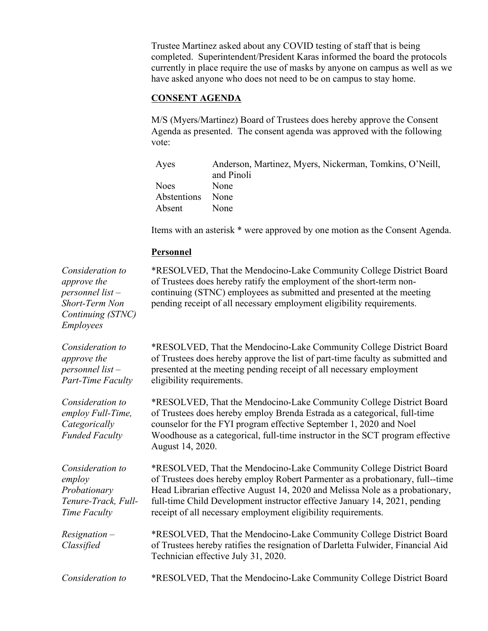Trustee Martinez asked about any COVID testing of staff that is being completed. Superintendent/President Karas informed the board the protocols currently in place require the use of masks by anyone on campus as well as we have asked anyone who does not need to be on campus to stay home.

# **CONSENT AGENDA**

M/S (Myers/Martinez) Board of Trustees does hereby approve the Consent Agenda as presented. The consent agenda was approved with the following vote:

| Ayes        | Anderson, Martinez, Myers, Nickerman, Tomkins, O'Neill, |
|-------------|---------------------------------------------------------|
|             | and Pinoli                                              |
| <b>Noes</b> | None                                                    |
| Abstentions | None                                                    |
| Absent      | None                                                    |

Items with an asterisk \* were approved by one motion as the Consent Agenda.

## **Personnel**

| Consideration to<br>approve the<br>$personnel$ list $-$<br>Short-Term Non<br>Continuing (STNC)<br><b>Employees</b> | *RESOLVED, That the Mendocino-Lake Community College District Board<br>of Trustees does hereby ratify the employment of the short-term non-<br>continuing (STNC) employees as submitted and presented at the meeting<br>pending receipt of all necessary employment eligibility requirements.                                                                                       |
|--------------------------------------------------------------------------------------------------------------------|-------------------------------------------------------------------------------------------------------------------------------------------------------------------------------------------------------------------------------------------------------------------------------------------------------------------------------------------------------------------------------------|
| Consideration to<br>approve the<br>$personnel$ list $-$<br><b>Part-Time Faculty</b>                                | *RESOLVED, That the Mendocino-Lake Community College District Board<br>of Trustees does hereby approve the list of part-time faculty as submitted and<br>presented at the meeting pending receipt of all necessary employment<br>eligibility requirements.                                                                                                                          |
| Consideration to<br>employ Full-Time,<br>Categorically<br><b>Funded Faculty</b>                                    | *RESOLVED, That the Mendocino-Lake Community College District Board<br>of Trustees does hereby employ Brenda Estrada as a categorical, full-time<br>counselor for the FYI program effective September 1, 2020 and Noel<br>Woodhouse as a categorical, full-time instructor in the SCT program effective<br>August 14, 2020.                                                         |
| Consideration to<br>employ<br>Probationary<br>Tenure-Track, Full-<br>Time Faculty                                  | *RESOLVED, That the Mendocino-Lake Community College District Board<br>of Trustees does hereby employ Robert Parmenter as a probationary, full--time<br>Head Librarian effective August 14, 2020 and Melissa Nole as a probationary,<br>full-time Child Development instructor effective January 14, 2021, pending<br>receipt of all necessary employment eligibility requirements. |
| $Resignation -$<br>Classified                                                                                      | *RESOLVED, That the Mendocino-Lake Community College District Board<br>of Trustees hereby ratifies the resignation of Darletta Fulwider, Financial Aid<br>Technician effective July 31, 2020.                                                                                                                                                                                       |
| Consideration to                                                                                                   | *RESOLVED, That the Mendocino-Lake Community College District Board                                                                                                                                                                                                                                                                                                                 |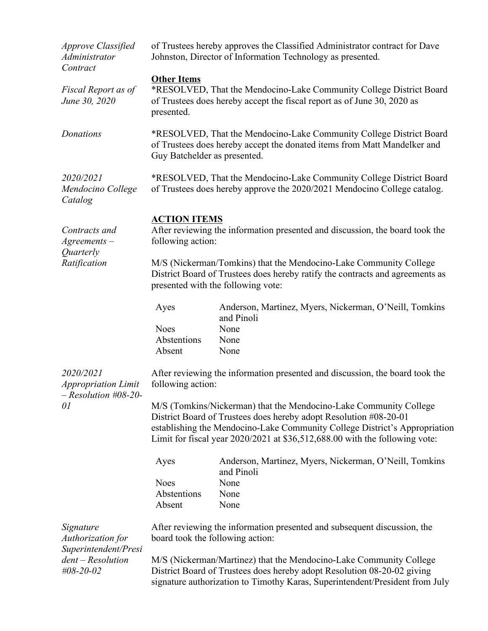| <b>Approve Classified</b><br><b>Administrator</b><br>Contract           | of Trustees hereby approves the Classified Administrator contract for Dave<br>Johnston, Director of Information Technology as presented.                                           |                                                                                                                                                                                                                                                                                                     |  |
|-------------------------------------------------------------------------|------------------------------------------------------------------------------------------------------------------------------------------------------------------------------------|-----------------------------------------------------------------------------------------------------------------------------------------------------------------------------------------------------------------------------------------------------------------------------------------------------|--|
| Fiscal Report as of<br>June 30, 2020                                    | <b>Other Items</b><br>*RESOLVED, That the Mendocino-Lake Community College District Board<br>of Trustees does hereby accept the fiscal report as of June 30, 2020 as<br>presented. |                                                                                                                                                                                                                                                                                                     |  |
| Donations                                                               | Guy Batchelder as presented.                                                                                                                                                       | *RESOLVED, That the Mendocino-Lake Community College District Board<br>of Trustees does hereby accept the donated items from Matt Mandelker and                                                                                                                                                     |  |
| 2020/2021<br>Mendocino College<br>Catalog                               |                                                                                                                                                                                    | *RESOLVED, That the Mendocino-Lake Community College District Board<br>of Trustees does hereby approve the 2020/2021 Mendocino College catalog.                                                                                                                                                     |  |
| Contracts and<br>$A$ greements $-$<br>Quarterly<br>Ratification         | <b>ACTION ITEMS</b><br>After reviewing the information presented and discussion, the board took the<br>following action:                                                           |                                                                                                                                                                                                                                                                                                     |  |
|                                                                         |                                                                                                                                                                                    | M/S (Nickerman/Tomkins) that the Mendocino-Lake Community College<br>District Board of Trustees does hereby ratify the contracts and agreements as<br>presented with the following vote:                                                                                                            |  |
|                                                                         | Ayes                                                                                                                                                                               | Anderson, Martinez, Myers, Nickerman, O'Neill, Tomkins<br>and Pinoli                                                                                                                                                                                                                                |  |
|                                                                         | <b>Noes</b><br>Abstentions<br>Absent                                                                                                                                               | None<br>None<br>None                                                                                                                                                                                                                                                                                |  |
| 2020/2021<br><b>Appropriation Limit</b><br>$-$ Resolution #08-20-<br>01 | After reviewing the information presented and discussion, the board took the<br>following action:                                                                                  |                                                                                                                                                                                                                                                                                                     |  |
|                                                                         |                                                                                                                                                                                    | M/S (Tomkins/Nickerman) that the Mendocino-Lake Community College<br>District Board of Trustees does hereby adopt Resolution #08-20-01<br>establishing the Mendocino-Lake Community College District's Appropriation<br>Limit for fiscal year 2020/2021 at \$36,512,688.00 with the following vote: |  |
|                                                                         | Ayes                                                                                                                                                                               | Anderson, Martinez, Myers, Nickerman, O'Neill, Tomkins<br>and Pinoli                                                                                                                                                                                                                                |  |
|                                                                         | <b>Noes</b>                                                                                                                                                                        | None                                                                                                                                                                                                                                                                                                |  |
|                                                                         | Abstentions                                                                                                                                                                        | None                                                                                                                                                                                                                                                                                                |  |
|                                                                         | Absent                                                                                                                                                                             | None                                                                                                                                                                                                                                                                                                |  |
| Signature<br>Authorization for<br>Superintendent/Presi                  | board took the following action:                                                                                                                                                   | After reviewing the information presented and subsequent discussion, the                                                                                                                                                                                                                            |  |
| $dent - Resolution$<br>#08-20-02                                        |                                                                                                                                                                                    | M/S (Nickerman/Martinez) that the Mendocino-Lake Community College<br>District Board of Trustees does hereby adopt Resolution 08-20-02 giving<br>signature authorization to Timothy Karas, Superintendent/President from July                                                                       |  |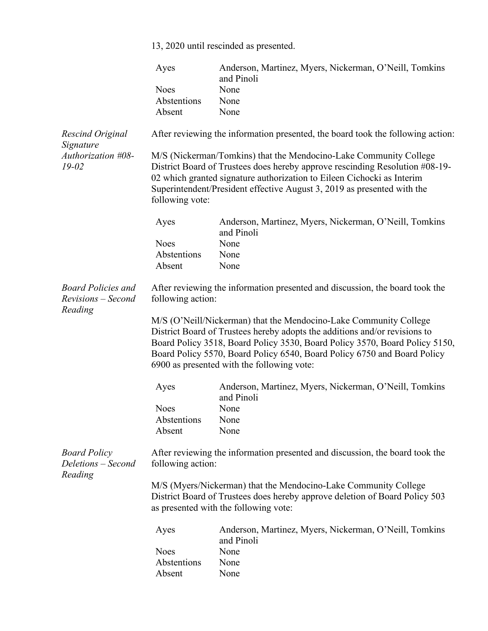|                                                            | 13, 2020 until rescinded as presented.                                                            |                                                                                                                                                                                                                                                                                                                                                          |  |
|------------------------------------------------------------|---------------------------------------------------------------------------------------------------|----------------------------------------------------------------------------------------------------------------------------------------------------------------------------------------------------------------------------------------------------------------------------------------------------------------------------------------------------------|--|
|                                                            | Ayes                                                                                              | Anderson, Martinez, Myers, Nickerman, O'Neill, Tomkins<br>and Pinoli                                                                                                                                                                                                                                                                                     |  |
|                                                            | <b>Noes</b>                                                                                       | None                                                                                                                                                                                                                                                                                                                                                     |  |
|                                                            | Abstentions                                                                                       | None                                                                                                                                                                                                                                                                                                                                                     |  |
|                                                            | Absent                                                                                            | None                                                                                                                                                                                                                                                                                                                                                     |  |
| <b>Rescind Original</b><br>Signature                       |                                                                                                   | After reviewing the information presented, the board took the following action:                                                                                                                                                                                                                                                                          |  |
| Authorization #08-<br>$19 - 02$                            | following vote:                                                                                   | M/S (Nickerman/Tomkins) that the Mendocino-Lake Community College<br>District Board of Trustees does hereby approve rescinding Resolution #08-19-<br>02 which granted signature authorization to Eileen Cichocki as Interim<br>Superintendent/President effective August 3, 2019 as presented with the                                                   |  |
|                                                            | Ayes                                                                                              | Anderson, Martinez, Myers, Nickerman, O'Neill, Tomkins<br>and Pinoli                                                                                                                                                                                                                                                                                     |  |
|                                                            | <b>Noes</b>                                                                                       | None                                                                                                                                                                                                                                                                                                                                                     |  |
|                                                            | Abstentions                                                                                       | None                                                                                                                                                                                                                                                                                                                                                     |  |
|                                                            | Absent                                                                                            | None                                                                                                                                                                                                                                                                                                                                                     |  |
| <b>Board Policies and</b><br>Revisions - Second<br>Reading | After reviewing the information presented and discussion, the board took the<br>following action: |                                                                                                                                                                                                                                                                                                                                                          |  |
|                                                            |                                                                                                   | M/S (O'Neill/Nickerman) that the Mendocino-Lake Community College<br>District Board of Trustees hereby adopts the additions and/or revisions to<br>Board Policy 3518, Board Policy 3530, Board Policy 3570, Board Policy 5150,<br>Board Policy 5570, Board Policy 6540, Board Policy 6750 and Board Policy<br>6900 as presented with the following vote: |  |
|                                                            | Ayes                                                                                              | Anderson, Martinez, Myers, Nickerman, O'Neill, Tomkins<br>and Pinoli                                                                                                                                                                                                                                                                                     |  |
|                                                            | <b>Noes</b>                                                                                       | None                                                                                                                                                                                                                                                                                                                                                     |  |
|                                                            | Abstentions                                                                                       | None                                                                                                                                                                                                                                                                                                                                                     |  |
|                                                            | Absent                                                                                            | None                                                                                                                                                                                                                                                                                                                                                     |  |
| <b>Board Policy</b><br>Deletions - Second<br>Reading       | After reviewing the information presented and discussion, the board took the<br>following action: |                                                                                                                                                                                                                                                                                                                                                          |  |
|                                                            | M/S (Myers/Nickerman) that the Mendocino-Lake Community College                                   |                                                                                                                                                                                                                                                                                                                                                          |  |
|                                                            | District Board of Trustees does hereby approve deletion of Board Policy 503                       |                                                                                                                                                                                                                                                                                                                                                          |  |
|                                                            | as presented with the following vote:                                                             |                                                                                                                                                                                                                                                                                                                                                          |  |
|                                                            | Ayes                                                                                              | Anderson, Martinez, Myers, Nickerman, O'Neill, Tomkins<br>and Pinoli                                                                                                                                                                                                                                                                                     |  |
|                                                            | <b>Noes</b>                                                                                       | None                                                                                                                                                                                                                                                                                                                                                     |  |
|                                                            | Abstentions                                                                                       | None                                                                                                                                                                                                                                                                                                                                                     |  |
|                                                            | Absent                                                                                            | None                                                                                                                                                                                                                                                                                                                                                     |  |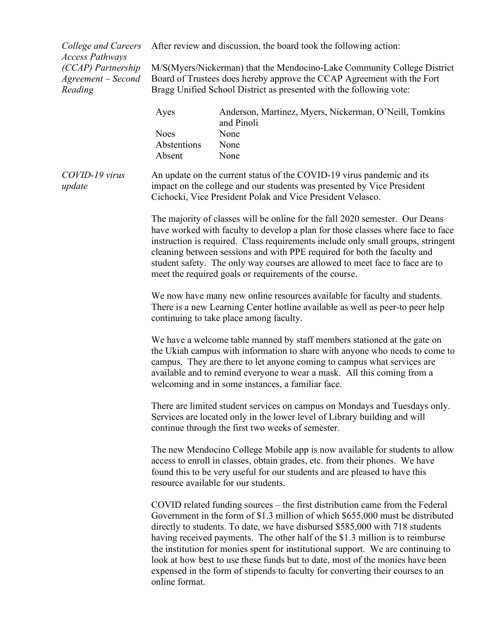*College and Careers Access Pathways (CCAP) Partnership Agreement – Second Reading*

After review and discussion, the board took the following action:

M/S(Myers/Nickerman) that the Mendocino-Lake Community College District Board of Trustees does hereby approve the CCAP Agreement with the Fort Bragg Unified School District as presented with the following vote:

| Ayes        | Anderson, Martinez, Myers, Nickerman, O'Neill, Tomkins<br>and Pinoli |
|-------------|----------------------------------------------------------------------|
| <b>Noes</b> | <b>None</b>                                                          |
| Abstentions | <b>None</b>                                                          |
| Absent      | <b>None</b>                                                          |

*COVID-19 virus update*

An update on the current status of the COVID-19 virus pandemic and its impact on the college and our students was presented by Vice President Cichocki, Vice President Polak and Vice President Velasco.

The majority of classes will be online for the fall 2020 semester. Our Deans have worked with faculty to develop a plan for those classes where face to face instruction is required. Class requirements include only small groups, stringent cleaning between sessions and with PPE required for both the faculty and student safety. The only way courses are allowed to meet face to face are to meet the required goals or requirements of the course.

We now have many new online resources available for faculty and students. There is a new Learning Center hotline available as well as peer-to peer help continuing to take place among faculty.

We have a welcome table manned by staff members stationed at the gate on the Ukiah campus with information to share with anyone who needs to come to campus. They are there to let anyone coming to campus what services are available and to remind everyone to wear a mask. All this coming from a welcoming and in some instances, a familiar face.

There are limited student services on campus on Mondays and Tuesdays only. Services are located only in the lower level of Library building and will continue through the first two weeks of semester.

The new Mendocino College Mobile app is now available for students to allow access to enroll in classes, obtain grades, etc. from their phones. We have found this to be very useful for our students and are pleased to have this resource available for our students.

COVID related funding sources – the first distribution came from the Federal Government in the form of \$1.3 million of which \$655,000 must be distributed directly to students. To date, we have disbursed \$585,000 with 718 students having received payments. The other half of the \$1.3 million is to reimburse the institution for monies spent for institutional support. We are continuing to look at how best to use these funds but to date, most of the monies have been expensed in the form of stipends to faculty for converting their courses to an online format.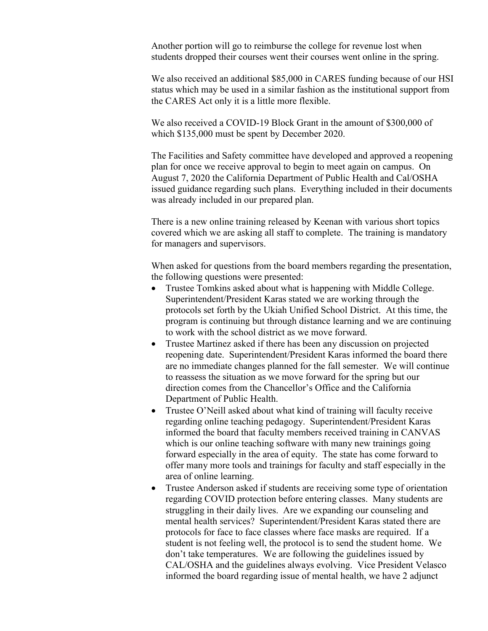Another portion will go to reimburse the college for revenue lost when students dropped their courses went their courses went online in the spring.

We also received an additional \$85,000 in CARES funding because of our HSI status which may be used in a similar fashion as the institutional support from the CARES Act only it is a little more flexible.

We also received a COVID-19 Block Grant in the amount of \$300,000 of which \$135,000 must be spent by December 2020.

The Facilities and Safety committee have developed and approved a reopening plan for once we receive approval to begin to meet again on campus. On August 7, 2020 the California Department of Public Health and Cal/OSHA issued guidance regarding such plans. Everything included in their documents was already included in our prepared plan.

There is a new online training released by Keenan with various short topics covered which we are asking all staff to complete. The training is mandatory for managers and supervisors.

When asked for questions from the board members regarding the presentation, the following questions were presented:

- Trustee Tomkins asked about what is happening with Middle College. Superintendent/President Karas stated we are working through the protocols set forth by the Ukiah Unified School District. At this time, the program is continuing but through distance learning and we are continuing to work with the school district as we move forward.
- Trustee Martinez asked if there has been any discussion on projected reopening date. Superintendent/President Karas informed the board there are no immediate changes planned for the fall semester. We will continue to reassess the situation as we move forward for the spring but our direction comes from the Chancellor's Office and the California Department of Public Health.
- Trustee O'Neill asked about what kind of training will faculty receive regarding online teaching pedagogy. Superintendent/President Karas informed the board that faculty members received training in CANVAS which is our online teaching software with many new trainings going forward especially in the area of equity. The state has come forward to offer many more tools and trainings for faculty and staff especially in the area of online learning.
- Trustee Anderson asked if students are receiving some type of orientation regarding COVID protection before entering classes. Many students are struggling in their daily lives. Are we expanding our counseling and mental health services? Superintendent/President Karas stated there are protocols for face to face classes where face masks are required. If a student is not feeling well, the protocol is to send the student home. We don't take temperatures. We are following the guidelines issued by CAL/OSHA and the guidelines always evolving. Vice President Velasco informed the board regarding issue of mental health, we have 2 adjunct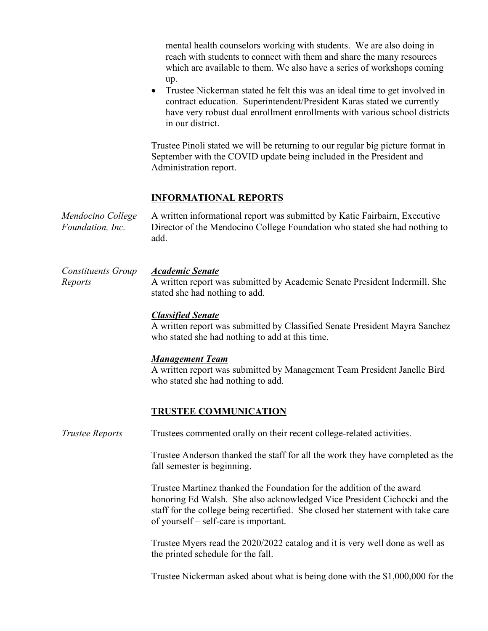mental health counselors working with students. We are also doing in reach with students to connect with them and share the many resources which are available to them. We also have a series of workshops coming up.

• Trustee Nickerman stated he felt this was an ideal time to get involved in contract education. Superintendent/President Karas stated we currently have very robust dual enrollment enrollments with various school districts in our district.

Trustee Pinoli stated we will be returning to our regular big picture format in September with the COVID update being included in the President and Administration report.

## **INFORMATIONAL REPORTS**

*Mendocino College Foundation, Inc.* A written informational report was submitted by Katie Fairbairn, Executive Director of the Mendocino College Foundation who stated she had nothing to add.

*Constituents Group Reports Academic Senate* A written report was submitted by Academic Senate President Indermill. She stated she had nothing to add.

### *Classified Senate*

A written report was submitted by Classified Senate President Mayra Sanchez who stated she had nothing to add at this time.

#### *Management Team*

A written report was submitted by Management Team President Janelle Bird who stated she had nothing to add.

### **TRUSTEE COMMUNICATION**

*Trustee Reports* Trustees commented orally on their recent college-related activities.

Trustee Anderson thanked the staff for all the work they have completed as the fall semester is beginning.

Trustee Martinez thanked the Foundation for the addition of the award honoring Ed Walsh. She also acknowledged Vice President Cichocki and the staff for the college being recertified. She closed her statement with take care of yourself – self-care is important.

Trustee Myers read the 2020/2022 catalog and it is very well done as well as the printed schedule for the fall.

Trustee Nickerman asked about what is being done with the \$1,000,000 for the